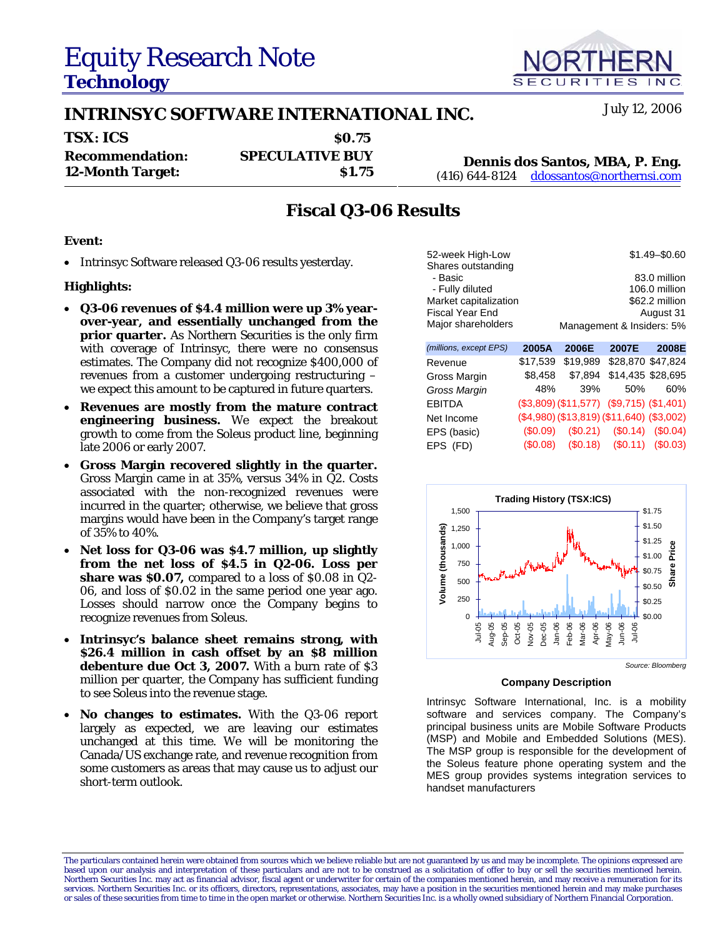# Equity Research Note **Technology**

## **INTRINSYC SOFTWARE INTERNATIONAL INC.** July 12, 2006

| <b>TSX: ICS</b>         | \$0.75                 |                                            |
|-------------------------|------------------------|--------------------------------------------|
| <b>Recommendation:</b>  | <b>SPECULATIVE BUY</b> | Dennis dos Santos, MBA, P. Eng.            |
| <b>12-Month Target:</b> | <b>S1.75</b>           | $(416)$ 644-8124 ddossantos@northernsi.com |

## **Fiscal Q3-06 Results**

### **Event:**

• Intrinsyc Software released Q3-06 results yesterday.

### **Highlights:**

- **Q3-06 revenues of \$4.4 million were up 3% yearover-year, and essentially unchanged from the prior quarter.** As Northern Securities is the only firm with coverage of Intrinsyc, there were no consensus estimates. The Company did not recognize \$400,000 of revenues from a customer undergoing restructuring – we expect this amount to be captured in future quarters.
- **Revenues are mostly from the mature contract engineering business.** We expect the breakout growth to come from the *Soleus* product line, beginning late 2006 or early 2007.
- **Gross Margin recovered slightly in the quarter.** Gross Margin came in at 35%, versus 34% in Q2. Costs associated with the non-recognized revenues were incurred in the quarter; otherwise, we believe that gross margins would have been in the Company's target range of 35% to 40%.
- **Net loss for Q3-06 was \$4.7 million, up slightly from the net loss of \$4.5 in Q2-06. Loss per share was \$0.07,** compared to a loss of \$0.08 in Q2- 06, and loss of \$0.02 in the same period one year ago. Losses should narrow once the Company begins to recognize revenues from *Soleus*.
- **Intrinsyc's balance sheet remains strong, with \$26.4 million in cash offset by an \$8 million**  debenture due Oct 3, 2007. With a burn rate of \$3 million per quarter, the Company has sufficient funding to see *Soleus* into the revenue stage.
- **No changes to estimates.** With the Q3-06 report largely as expected, we are leaving our estimates unchanged at this time. We will be monitoring the Canada/US exchange rate, and revenue recognition from some customers as areas that may cause us to adjust our short-term outlook.

| 52-week High-Low              |        |              |                           | $$1.49 - $0.60$ |
|-------------------------------|--------|--------------|---------------------------|-----------------|
| Shares outstanding            |        |              |                           |                 |
| - Basic                       |        |              |                           | 83.0 million    |
| - Fully diluted               |        |              |                           | 106.0 million   |
| Market capitalization         |        |              |                           | \$62.2 million  |
| Fiscal Year End               |        |              |                           | August 31       |
| Major shareholders            |        |              | Management & Insiders: 5% |                 |
| <i>(millions, excent FPS)</i> | ኃስስፎ ለ | <b>SONGE</b> | המחכ                      | <b>OOOOE</b>    |

| (millions, except EPS) | 2005A    | 2006E           | 2007E                                         | 2008E             |
|------------------------|----------|-----------------|-----------------------------------------------|-------------------|
| Revenue                | \$17,539 | \$19,989        |                                               | \$28,870 \$47,824 |
| Gross Margin           |          | \$8,458 \$7,894 | \$14,435 \$28,695                             |                   |
| Gross Margin           | 48%      | 39%             | 50%                                           | 60%               |
| <b>EBITDA</b>          |          |                 | (\$3,809) (\$11,577) (\$9,715) (\$1,401)      |                   |
| Net Income             |          |                 | $($4,980)$ $($13,819)$ $($11,640)$ $($3,002)$ |                   |
| EPS (basic)            |          |                 | $($0.09)$ $($0.21)$ $($0.14)$ $($0.04)$       |                   |
| EPS (FD)               |          |                 | $($0.08)$ $($0.18)$ $($0.11)$ $($0.03)$       |                   |
|                        |          |                 |                                               |                   |



### **Company Description**

Intrinsyc Software International, Inc. is a mobility software and services company. The Company's principal business units are Mobile Software Products (MSP) and Mobile and Embedded Solutions (MES). The MSP group is responsible for the development of the Soleus feature phone operating system and the MES group provides systems integration services to handset manufacturers



The particulars contained herein were obtained from sources which we believe reliable but are not guaranteed by us and may be incomplete. The opinions expressed are based upon our analysis and interpretation of these particulars and are not to be construed as a solicitation of offer to buy or sell the securities mentioned herein.<br>Northern Securities Inc. may act as financial advisor, services. Northern Securities Inc. or its officers, directors, representations, associates, may have a position in the securities mentioned herein and may make purchases or sales of these securities from time to time in the open market or otherwise. Northern Securities Inc. is a wholly owned subsidiary of Northern Financial Corporation.